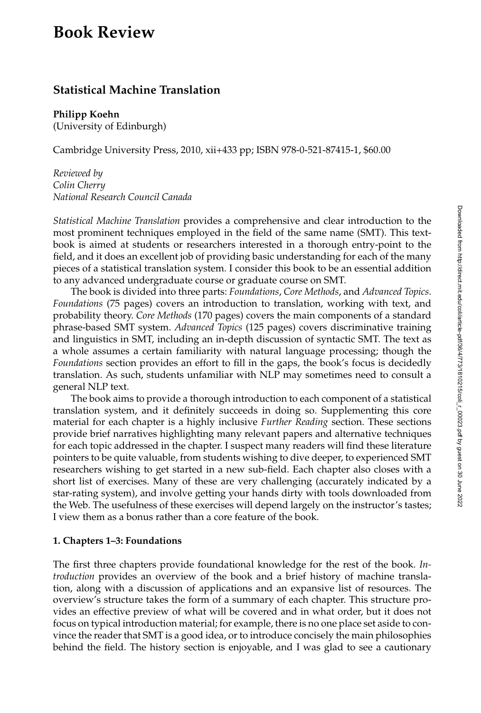# Downloaded from http://direct.mit.edu/coli/article-pdf/36/4/773/1810215/coli\_r\_00023.pdf by guest on 30 June 2022 Downloaded from http://direct.mit.edu/coli/article-pdf/36/4/773/1810215/coli\_r\_00023.pdf by guest on 30 June 2022

# **Book Review**

# **Statistical Machine Translation**

**Philipp Koehn** (University of Edinburgh)

Cambridge University Press, 2010, xii+433 pp; ISBN 978-0-521-87415-1, \$60.00

*Reviewed by Colin Cherry National Research Council Canada*

*Statistical Machine Translation* provides a comprehensive and clear introduction to the most prominent techniques employed in the field of the same name (SMT). This textbook is aimed at students or researchers interested in a thorough entry-point to the field, and it does an excellent job of providing basic understanding for each of the many pieces of a statistical translation system. I consider this book to be an essential addition to any advanced undergraduate course or graduate course on SMT.

The book is divided into three parts: *Foundations*, *Core Methods*, and *Advanced Topics*. *Foundations* (75 pages) covers an introduction to translation, working with text, and probability theory. *Core Methods* (170 pages) covers the main components of a standard phrase-based SMT system. *Advanced Topics* (125 pages) covers discriminative training and linguistics in SMT, including an in-depth discussion of syntactic SMT. The text as a whole assumes a certain familiarity with natural language processing; though the *Foundations* section provides an effort to fill in the gaps, the book's focus is decidedly translation. As such, students unfamiliar with NLP may sometimes need to consult a general NLP text.

The book aims to provide a thorough introduction to each component of a statistical translation system, and it definitely succeeds in doing so. Supplementing this core material for each chapter is a highly inclusive *Further Reading* section. These sections provide brief narratives highlighting many relevant papers and alternative techniques for each topic addressed in the chapter. I suspect many readers will find these literature pointers to be quite valuable, from students wishing to dive deeper, to experienced SMT researchers wishing to get started in a new sub-field. Each chapter also closes with a short list of exercises. Many of these are very challenging (accurately indicated by a star-rating system), and involve getting your hands dirty with tools downloaded from the Web. The usefulness of these exercises will depend largely on the instructor's tastes; I view them as a bonus rather than a core feature of the book.

### **1. Chapters 1–3: Foundations**

The first three chapters provide foundational knowledge for the rest of the book. *Introduction* provides an overview of the book and a brief history of machine translation, along with a discussion of applications and an expansive list of resources. The overview's structure takes the form of a summary of each chapter. This structure provides an effective preview of what will be covered and in what order, but it does not focus on typical introduction material; for example, there is no one place set aside to convince the reader that SMT is a good idea, or to introduce concisely the main philosophies behind the field. The history section is enjoyable, and I was glad to see a cautionary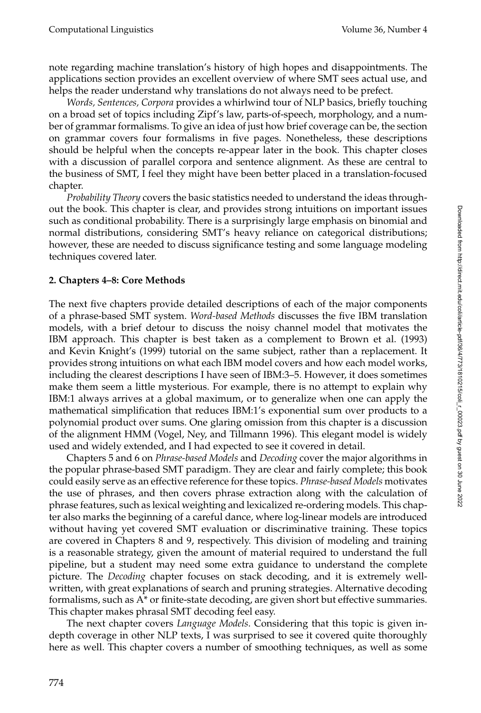note regarding machine translation's history of high hopes and disappointments. The applications section provides an excellent overview of where SMT sees actual use, and helps the reader understand why translations do not always need to be prefect.

*Words, Sentences, Corpora* provides a whirlwind tour of NLP basics, briefly touching on a broad set of topics including Zipf's law, parts-of-speech, morphology, and a number of grammar formalisms. To give an idea of just how brief coverage can be, the section on grammar covers four formalisms in five pages. Nonetheless, these descriptions should be helpful when the concepts re-appear later in the book. This chapter closes with a discussion of parallel corpora and sentence alignment. As these are central to the business of SMT, I feel they might have been better placed in a translation-focused chapter.

*Probability Theory* covers the basic statistics needed to understand the ideas throughout the book. This chapter is clear, and provides strong intuitions on important issues such as conditional probability. There is a surprisingly large emphasis on binomial and normal distributions, considering SMT's heavy reliance on categorical distributions; however, these are needed to discuss significance testing and some language modeling techniques covered later.

# **2. Chapters 4–8: Core Methods**

The next five chapters provide detailed descriptions of each of the major components of a phrase-based SMT system. *Word-based Methods* discusses the five IBM translation models, with a brief detour to discuss the noisy channel model that motivates the IBM approach. This chapter is best taken as a complement to Brown et al. (1993) and Kevin Knight's (1999) tutorial on the same subject, rather than a replacement. It provides strong intuitions on what each IBM model covers and how each model works, including the clearest descriptions I have seen of IBM:3–5. However, it does sometimes make them seem a little mysterious. For example, there is no attempt to explain why IBM:1 always arrives at a global maximum, or to generalize when one can apply the mathematical simplification that reduces IBM:1's exponential sum over products to a polynomial product over sums. One glaring omission from this chapter is a discussion of the alignment HMM (Vogel, Ney, and Tillmann 1996). This elegant model is widely used and widely extended, and I had expected to see it covered in detail.

Chapters 5 and 6 on *Phrase-based Models* and *Decoding* cover the major algorithms in the popular phrase-based SMT paradigm. They are clear and fairly complete; this book could easily serve as an effective reference for these topics. *Phrase-based Models* motivates the use of phrases, and then covers phrase extraction along with the calculation of phrase features, such as lexical weighting and lexicalized re-ordering models. This chapter also marks the beginning of a careful dance, where log-linear models are introduced without having yet covered SMT evaluation or discriminative training. These topics are covered in Chapters 8 and 9, respectively. This division of modeling and training is a reasonable strategy, given the amount of material required to understand the full pipeline, but a student may need some extra guidance to understand the complete picture. The *Decoding* chapter focuses on stack decoding, and it is extremely wellwritten, with great explanations of search and pruning strategies. Alternative decoding formalisms, such as A\* or finite-state decoding, are given short but effective summaries. This chapter makes phrasal SMT decoding feel easy.

The next chapter covers *Language Models*. Considering that this topic is given indepth coverage in other NLP texts, I was surprised to see it covered quite thoroughly here as well. This chapter covers a number of smoothing techniques, as well as some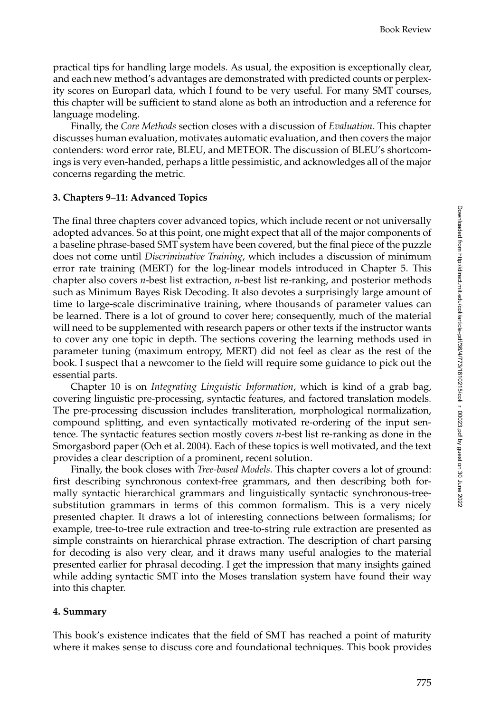practical tips for handling large models. As usual, the exposition is exceptionally clear, and each new method's advantages are demonstrated with predicted counts or perplexity scores on Europarl data, which I found to be very useful. For many SMT courses, this chapter will be sufficient to stand alone as both an introduction and a reference for language modeling.

Finally, the *Core Methods* section closes with a discussion of *Evaluation*. This chapter discusses human evaluation, motivates automatic evaluation, and then covers the major contenders: word error rate, BLEU, and METEOR. The discussion of BLEU's shortcomings is very even-handed, perhaps a little pessimistic, and acknowledges all of the major concerns regarding the metric.

### **3. Chapters 9–11: Advanced Topics**

The final three chapters cover advanced topics, which include recent or not universally adopted advances. So at this point, one might expect that all of the major components of a baseline phrase-based SMT system have been covered, but the final piece of the puzzle does not come until *Discriminative Training*, which includes a discussion of minimum error rate training (MERT) for the log-linear models introduced in Chapter 5. This chapter also covers *n*-best list extraction, *n*-best list re-ranking, and posterior methods such as Minimum Bayes Risk Decoding. It also devotes a surprisingly large amount of time to large-scale discriminative training, where thousands of parameter values can be learned. There is a lot of ground to cover here; consequently, much of the material will need to be supplemented with research papers or other texts if the instructor wants to cover any one topic in depth. The sections covering the learning methods used in parameter tuning (maximum entropy, MERT) did not feel as clear as the rest of the book. I suspect that a newcomer to the field will require some guidance to pick out the essential parts.

Chapter 10 is on *Integrating Linguistic Information*, which is kind of a grab bag, covering linguistic pre-processing, syntactic features, and factored translation models. The pre-processing discussion includes transliteration, morphological normalization, compound splitting, and even syntactically motivated re-ordering of the input sentence. The syntactic features section mostly covers *n*-best list re-ranking as done in the Smorgasbord paper (Och et al. 2004). Each of these topics is well motivated, and the text provides a clear description of a prominent, recent solution.

Finally, the book closes with *Tree-based Models*. This chapter covers a lot of ground: first describing synchronous context-free grammars, and then describing both formally syntactic hierarchical grammars and linguistically syntactic synchronous-treesubstitution grammars in terms of this common formalism. This is a very nicely presented chapter. It draws a lot of interesting connections between formalisms; for example, tree-to-tree rule extraction and tree-to-string rule extraction are presented as simple constraints on hierarchical phrase extraction. The description of chart parsing for decoding is also very clear, and it draws many useful analogies to the material presented earlier for phrasal decoding. I get the impression that many insights gained while adding syntactic SMT into the Moses translation system have found their way into this chapter.

### **4. Summary**

This book's existence indicates that the field of SMT has reached a point of maturity where it makes sense to discuss core and foundational techniques. This book provides